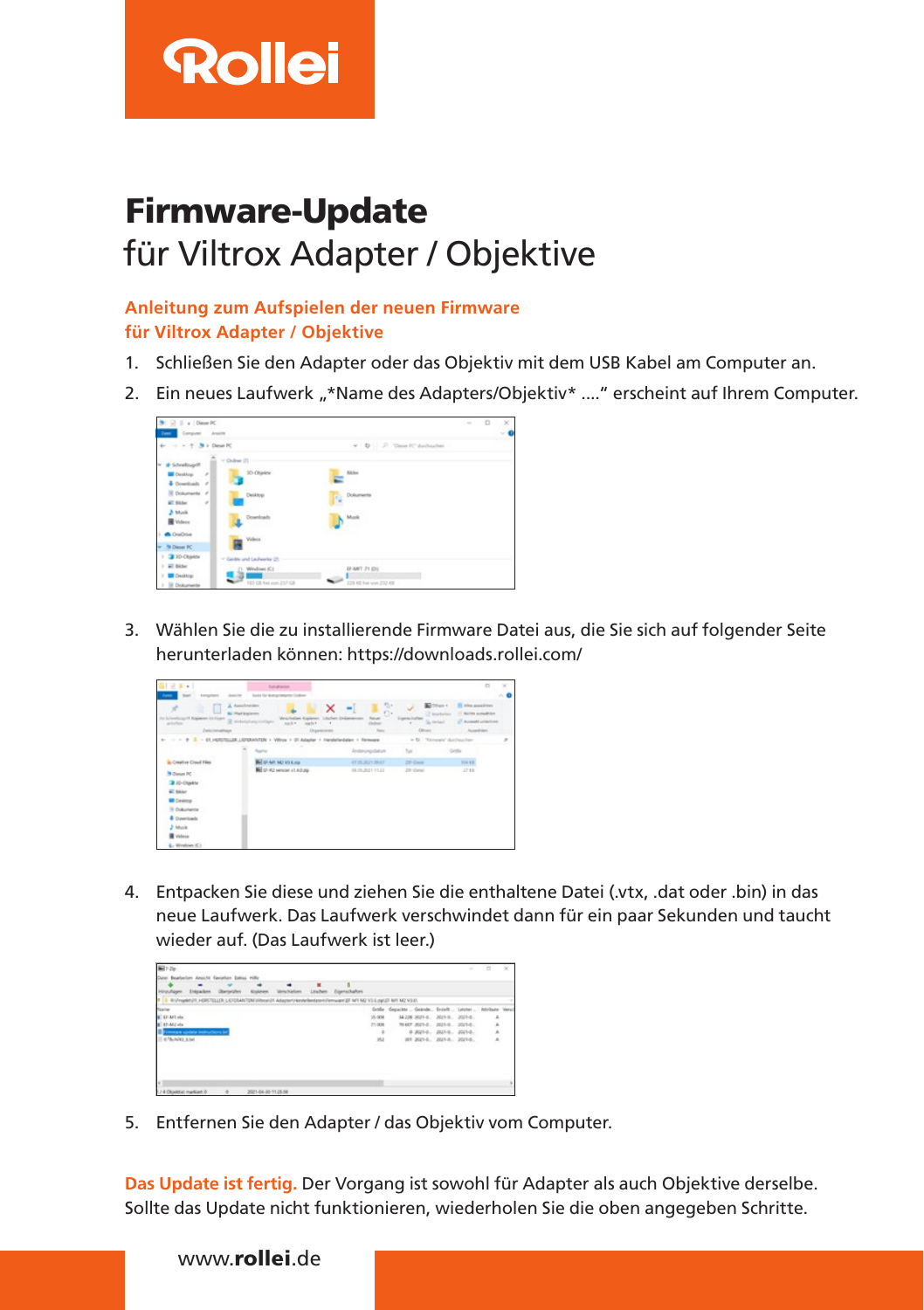

# Firmware-Update für Viltrox Adapter / Objektive

### **Anleitung zum Aufspielen der neuen Firmware für Viltrox Adapter / Objektive**

- 1. Schließen Sie den Adapter oder das Objektiv mit dem USB Kabel am Computer an.
- 2. Ein neues Laufwerk "\*Name des Adapters/Objektiv\* ...." erscheint auf Ihrem Computer.



3. Wählen Sie die zu installierende Firmware Datei aus, die Sie sich auf folgender Seite herunterladen können: https://downloads.rollei.com/

| 四 兄弟 +1<br><b>Fame</b><br><b>Star</b><br><b>Associations</b><br><b>Angle</b>                                             | <b>Sanahirm</b><br>body for knowledge instruc- |                                      |                                              |                                                  | $\Box$                                                                                | $\!\times\!$ |
|--------------------------------------------------------------------------------------------------------------------------|------------------------------------------------|--------------------------------------|----------------------------------------------|--------------------------------------------------|---------------------------------------------------------------------------------------|--------------|
| Anternation<br>÷<br><b>Bit Pfed Anglerers</b><br>of Algebra Enforce: 12 Installating includes<br>animor<br>Zalchensblage | <b>Hall</b> R                                  | ×<br><b>ANGEL TO</b><br>Organizieren | ã<br><b>Solution</b><br>Ordna<br><b>None</b> | Edman .<br>Of Anatomian<br>Sa Verball<br>Officer | <b>IT Also assortives</b><br>11 Airlin sunables<br>U. Auswahl unterhous<br>Australian |              |
| 4- - + + 1 - 21 HERTSHER LEFERANTEN                                                                                      |                                                | Harshellandalert v. Fermaans         |                                              |                                                  | = D Ticnope' Archaeler                                                                | ×            |
|                                                                                                                          |                                                |                                      |                                              |                                                  |                                                                                       |              |
|                                                                                                                          | <b>Source</b>                                  |                                      | <b>Zeitenungsbeure</b>                       | Tall 1                                           | Gride                                                                                 |              |
| in Creative Court Files                                                                                                  | <b>NH</b> OF ART NO VILK 250                   |                                      | 0105202109.01                                |                                                  | 104.837                                                                               |              |
| <sup>3</sup> Clases PC                                                                                                   | <b>NE</b> D-42 version st.4.0.2Q               |                                      | 05.05.2021 11:23                             | 2P-Dated                                         | 27.83                                                                                 |              |
| <b>3 ID-Closkin</b>                                                                                                      |                                                |                                      |                                              |                                                  |                                                                                       |              |
| <b>W. Milder</b>                                                                                                         |                                                |                                      |                                              |                                                  |                                                                                       |              |
| <b>III</b> Desires                                                                                                       |                                                |                                      |                                              |                                                  |                                                                                       |              |
| 16 Ookunente                                                                                                             |                                                |                                      |                                              |                                                  |                                                                                       |              |
| <b>6</b> Downloads                                                                                                       |                                                |                                      |                                              |                                                  |                                                                                       |              |
| 2 Mole                                                                                                                   |                                                |                                      |                                              |                                                  |                                                                                       |              |
| <b>W</b> Videos                                                                                                          |                                                |                                      |                                              |                                                  |                                                                                       |              |
| $L$ -Windows (C)                                                                                                         |                                                |                                      |                                              |                                                  |                                                                                       |              |

4. Entpacken Sie diese und ziehen Sie die enthaltene Datei (.vtx, .dat oder .bin) in das neue Laufwerk. Das Laufwerk verschwindet dann für ein paar Sekunden und taucht wieder auf. (Das Laufwerk ist leer.)



5. Entfernen Sie den Adapter / das Objektiv vom Computer.

**Das Update ist fertig.** Der Vorgang ist sowohl für Adapter als auch Objektive derselbe. Sollte das Update nicht funktionieren, wiederholen Sie die oben angegeben Schritte.

## www.rollei.de